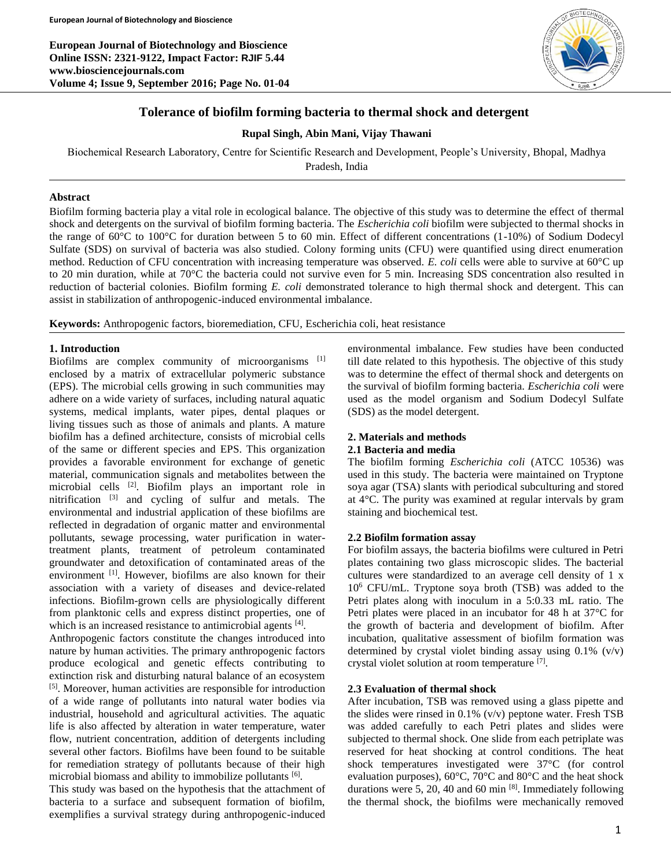**European Journal of Biotechnology and Bioscience Online ISSN: 2321-9122, Impact Factor: RJIF 5.44 www.biosciencejournals.com Volume 4; Issue 9, September 2016; Page No. 01-04**



# **Tolerance of biofilm forming bacteria to thermal shock and detergent**

# **Rupal Singh, Abin Mani, Vijay Thawani**

Biochemical Research Laboratory, Centre for Scientific Research and Development, People's University, Bhopal, Madhya Pradesh, India

**Abstract**

Biofilm forming bacteria play a vital role in ecological balance. The objective of this study was to determine the effect of thermal shock and detergents on the survival of biofilm forming bacteria. The *Escherichia coli* biofilm were subjected to thermal shocks in the range of 60°C to 100°C for duration between 5 to 60 min. Effect of different concentrations (1-10%) of Sodium Dodecyl Sulfate (SDS) on survival of bacteria was also studied. Colony forming units (CFU) were quantified using direct enumeration method. Reduction of CFU concentration with increasing temperature was observed. *E. coli* cells were able to survive at 60°C up to 20 min duration, while at 70°C the bacteria could not survive even for 5 min. Increasing SDS concentration also resulted in reduction of bacterial colonies. Biofilm forming *E. coli* demonstrated tolerance to high thermal shock and detergent. This can assist in stabilization of anthropogenic-induced environmental imbalance.

**Keywords:** Anthropogenic factors, bioremediation, CFU, Escherichia coli, heat resistance

# **1. Introduction**

Biofilms are complex community of microorganisms [1] enclosed by a matrix of extracellular polymeric substance (EPS). The microbial cells growing in such communities may adhere on a wide variety of surfaces, including natural aquatic systems, medical implants, water pipes, dental plaques or living tissues such as those of animals and plants. A mature biofilm has a defined architecture, consists of microbial cells of the same or different species and EPS. This organization provides a favorable environment for exchange of genetic material, communication signals and metabolites between the microbial cells [2]. Biofilm plays an important role in nitrification [3] and cycling of sulfur and metals. The environmental and industrial application of these biofilms are reflected in degradation of organic matter and environmental pollutants, sewage processing, water purification in watertreatment plants, treatment of petroleum contaminated groundwater and detoxification of contaminated areas of the environment <sup>[1]</sup>. However, biofilms are also known for their association with a variety of diseases and device-related infections. Biofilm-grown cells are physiologically different from planktonic cells and express distinct properties, one of which is an increased resistance to antimicrobial agents [4].

Anthropogenic factors constitute the changes introduced into nature by human activities. The primary anthropogenic factors produce ecological and genetic effects contributing to extinction risk and disturbing natural balance of an ecosystem [5]. Moreover, human activities are responsible for introduction of a wide range of pollutants into natural water bodies via industrial, household and agricultural activities. The aquatic life is also affected by alteration in water temperature, water flow, nutrient concentration, addition of detergents including several other factors. Biofilms have been found to be suitable for remediation strategy of pollutants because of their high microbial biomass and ability to immobilize pollutants [6].

This study was based on the hypothesis that the attachment of bacteria to a surface and subsequent formation of biofilm, exemplifies a survival strategy during anthropogenic-induced

environmental imbalance. Few studies have been conducted till date related to this hypothesis. The objective of this study was to determine the effect of thermal shock and detergents on the survival of biofilm forming bacteria. *Escherichia coli* were used as the model organism and Sodium Dodecyl Sulfate (SDS) as the model detergent.

# **2. Materials and methods 2.1 Bacteria and media**

The biofilm forming *Escherichia coli* (ATCC 10536) was used in this study. The bacteria were maintained on Tryptone soya agar (TSA) slants with periodical subculturing and stored at 4°C. The purity was examined at regular intervals by gram staining and biochemical test.

### **2.2 Biofilm formation assay**

For biofilm assays, the bacteria biofilms were cultured in Petri plates containing two glass microscopic slides. The bacterial cultures were standardized to an average cell density of 1 x 10<sup>6</sup> CFU/mL. Tryptone soya broth (TSB) was added to the Petri plates along with inoculum in a 5:0.33 mL ratio. The Petri plates were placed in an incubator for 48 h at 37°C for the growth of bacteria and development of biofilm. After incubation, qualitative assessment of biofilm formation was determined by crystal violet binding assay using 0.1% (v/v) crystal violet solution at room temperature [7].

# **2.3 Evaluation of thermal shock**

After incubation, TSB was removed using a glass pipette and the slides were rinsed in  $0.1\%$  (v/v) peptone water. Fresh TSB was added carefully to each Petri plates and slides were subjected to thermal shock. One slide from each petriplate was reserved for heat shocking at control conditions. The heat shock temperatures investigated were 37°C (for control evaluation purposes), 60°C, 70°C and 80°C and the heat shock durations were 5, 20, 40 and 60 min [8]. Immediately following the thermal shock, the biofilms were mechanically removed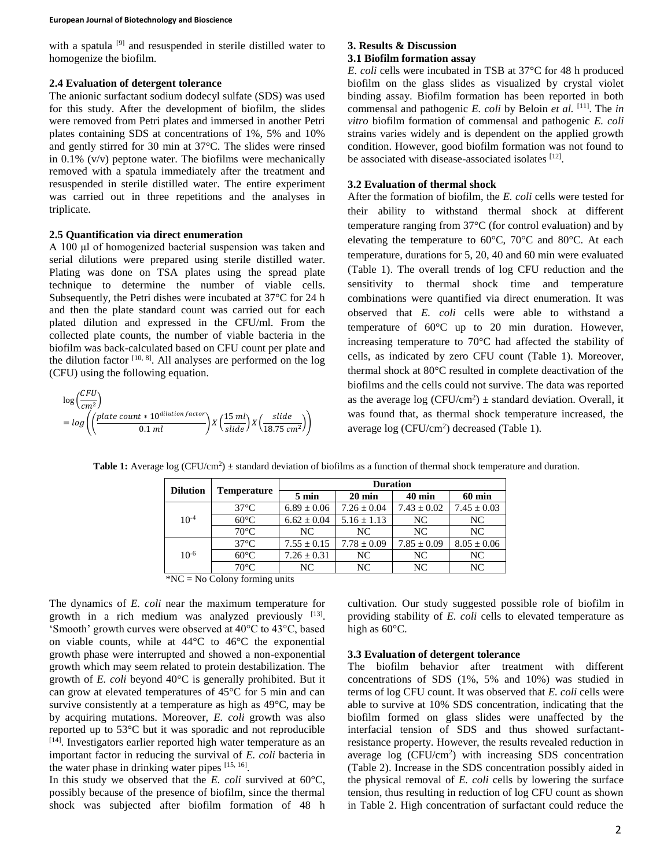#### **European Journal of Biotechnology and Bioscience**

with a spatula <sup>[9]</sup> and resuspended in sterile distilled water to homogenize the biofilm.

### **2.4 Evaluation of detergent tolerance**

The anionic surfactant sodium dodecyl sulfate (SDS) was used for this study. After the development of biofilm, the slides were removed from Petri plates and immersed in another Petri plates containing SDS at concentrations of 1%, 5% and 10% and gently stirred for 30 min at 37°C. The slides were rinsed in 0.1% (v/v) peptone water. The biofilms were mechanically removed with a spatula immediately after the treatment and resuspended in sterile distilled water. The entire experiment was carried out in three repetitions and the analyses in triplicate.

# **2.5 Quantification via direct enumeration**

A 100 μl of homogenized bacterial suspension was taken and serial dilutions were prepared using sterile distilled water. Plating was done on TSA plates using the spread plate technique to determine the number of viable cells. Subsequently, the Petri dishes were incubated at 37<sup>o</sup>C for 24 h and then the plate standard count was carried out for each plated dilution and expressed in the CFU/ml. From the collected plate counts, the number of viable bacteria in the biofilm was back-calculated based on CFU count per plate and the dilution factor [10, 8]. All analyses are performed on the log (CFU) using the following equation.

$$
log\left(\frac{CFU}{cm^2}\right)
$$
  
=  $log\left(\left(\frac{plate\ count * 10^{dilution\ factor}}{0.1\ ml}\right)X\left(\frac{15\ ml}{slide}\right)X\left(\frac{slide}{18.75\ cm^2}\right)\right)$ 

# **3. Results & Discussion 3.1 Biofilm formation assay**

*E. coli* cells were incubated in TSB at 37°C for 48 h produced biofilm on the glass slides as visualized by crystal violet binding assay. Biofilm formation has been reported in both commensal and pathogenic *E. coli* by Beloin *et al.* [11]. The *in vitro* biofilm formation of commensal and pathogenic *E. coli* strains varies widely and is dependent on the applied growth condition. However, good biofilm formation was not found to be associated with disease-associated isolates [12].

# **3.2 Evaluation of thermal shock**

After the formation of biofilm, the *E. coli* cells were tested for their ability to withstand thermal shock at different temperature ranging from 37°C (for control evaluation) and by elevating the temperature to 60°C, 70°C and 80°C. At each temperature, durations for 5, 20, 40 and 60 min were evaluated (Table 1). The overall trends of log CFU reduction and the sensitivity to thermal shock time and temperature combinations were quantified via direct enumeration. It was observed that *E. coli* cells were able to withstand a temperature of 60°C up to 20 min duration. However, increasing temperature to 70°C had affected the stability of cells, as indicated by zero CFU count (Table 1). Moreover, thermal shock at 80°C resulted in complete deactivation of the biofilms and the cells could not survive. The data was reported as the average  $log (CFU/cm^2) \pm standard$  deviation. Overall, it was found that, as thermal shock temperature increased, the average  $log (CFU/cm<sup>2</sup>)$  decreased (Table 1).

|  |                 | <b>Temperature</b> | <b>Duration</b> |                  |                 |                 |
|--|-----------------|--------------------|-----------------|------------------|-----------------|-----------------|
|  | <b>Dilution</b> |                    | $5 \text{ min}$ | $20 \text{ min}$ | <b>40 min</b>   | 60 min          |
|  | $10^{-4}$       | $37^{\circ}$ C     | $6.89 \pm 0.06$ | $7.26 \pm 0.04$  | $7.43 \pm 0.02$ | $7.45 \pm 0.03$ |
|  |                 | $60^{\circ}$ C     | $6.62 \pm 0.04$ | $5.16 \pm 1.13$  | NC.             | NC.             |
|  |                 | $70^{\circ}$ C     | NC              | NC.              | NC.             | NC.             |
|  | $10^{-6}$       | $37^{\circ}$ C     | $7.55 \pm 0.15$ | $7.78 \pm 0.09$  | $7.85 \pm 0.09$ | $8.05 \pm 0.06$ |
|  |                 | $60^{\circ}$ C     | $7.26 \pm 0.31$ | NC               | NC.             | NC.             |
|  |                 | $70^{\circ}$ C     | NC              | NC               | NC.             | NC              |

**Table 1:** Average log (CFU/cm<sup>2</sup>)  $\pm$  standard deviation of biofilms as a function of thermal shock temperature and duration.

\*NC = No Colony forming units

The dynamics of *E. coli* near the maximum temperature for growth in a rich medium was analyzed previously [13]. 'Smooth' growth curves were observed at 40°C to 43°C, based on viable counts, while at 44°C to 46°C the exponential growth phase were interrupted and showed a non-exponential growth which may seem related to protein destabilization. The growth of *E. coli* beyond 40°C is generally prohibited. But it can grow at elevated temperatures of 45°C for 5 min and can survive consistently at a temperature as high as 49°C, may be by acquiring mutations. Moreover, *E. coli* growth was also reported up to 53°C but it was sporadic and not reproducible [14]. Investigators earlier reported high water temperature as an important factor in reducing the survival of *E. coli* bacteria in the water phase in drinking water pipes [15, 16].

In this study we observed that the *E. coli* survived at 60°C, possibly because of the presence of biofilm, since the thermal shock was subjected after biofilm formation of 48 h

cultivation. Our study suggested possible role of biofilm in providing stability of *E. coli* cells to elevated temperature as high as 60°C.

#### **3.3 Evaluation of detergent tolerance**

The biofilm behavior after treatment with different concentrations of SDS (1%, 5% and 10%) was studied in terms of log CFU count. It was observed that *E. coli* cells were able to survive at 10% SDS concentration, indicating that the biofilm formed on glass slides were unaffected by the interfacial tension of SDS and thus showed surfactantresistance property. However, the results revealed reduction in average  $log (CFU/cm<sup>2</sup>)$  with increasing SDS concentration (Table 2). Increase in the SDS concentration possibly aided in the physical removal of *E. coli* cells by lowering the surface tension, thus resulting in reduction of log CFU count as shown in Table 2. High concentration of surfactant could reduce the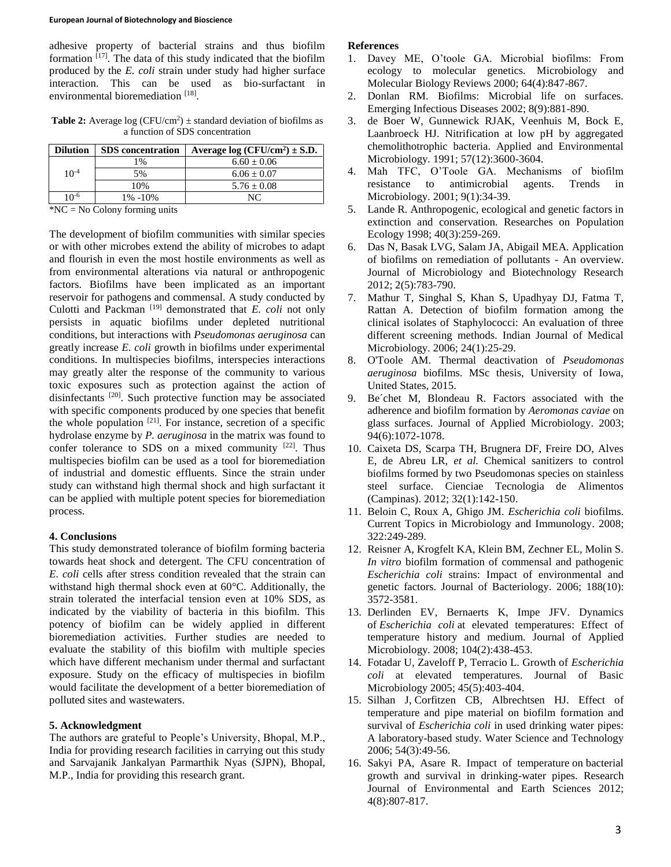adhesive property of bacterial strains and thus biofilm formation  $[17]$ . The data of this study indicated that the biofilm produced by the *E. coli* strain under study had higher surface interaction. This can be used as bio-surfactant in environmental bioremediation [18].

**Table 2:** Average  $log (CFU/cm^2)$   $\pm$  standard deviation of biofilms as a function of SDS concentration

| <b>SDS</b> concentration | Average log $(CFU/cm^2) \pm S.D.$ |
|--------------------------|-----------------------------------|
| 1%                       | $6.60 + 0.06$                     |
| 5%                       | $6.06 + 0.07$                     |
| 10%                      | $5.76 \pm 0.08$                   |
| 1% -10%                  | NC                                |
|                          |                                   |

\*NC = No Colony forming units

The development of biofilm communities with similar species or with other microbes extend the ability of microbes to adapt and flourish in even the most hostile environments as well as from environmental alterations via natural or anthropogenic factors. Biofilms have been implicated as an important reservoir for pathogens and commensal. A study conducted by Culotti and Packman [19] demonstrated that *E. coli* not only persists in aquatic biofilms under depleted nutritional conditions, but interactions with *Pseudomonas aeruginosa* can greatly increase *E. coli* growth in biofilms under experimental conditions. In multispecies biofilms, interspecies interactions may greatly alter the response of the community to various toxic exposures such as protection against the action of disinfectants <sup>[20]</sup>. Such protective function may be associated with specific components produced by one species that benefit the whole population  $[21]$ . For instance, secretion of a specific hydrolase enzyme by *P. aeruginosa* in the matrix was found to confer tolerance to SDS on a mixed community  $[22]$ . Thus multispecies biofilm can be used as a tool for bioremediation of industrial and domestic effluents. Since the strain under study can withstand high thermal shock and high surfactant it can be applied with multiple potent species for bioremediation process.

### **4. Conclusions**

This study demonstrated tolerance of biofilm forming bacteria towards heat shock and detergent. The CFU concentration of *E. coli* cells after stress condition revealed that the strain can withstand high thermal shock even at 60°C. Additionally, the strain tolerated the interfacial tension even at 10% SDS, as indicated by the viability of bacteria in this biofilm. This potency of biofilm can be widely applied in different bioremediation activities. Further studies are needed to evaluate the stability of this biofilm with multiple species which have different mechanism under thermal and surfactant exposure. Study on the efficacy of multispecies in biofilm would facilitate the development of a better bioremediation of polluted sites and wastewaters.

# **5. Acknowledgment**

The authors are grateful to People's University, Bhopal, M.P., India for providing research facilities in carrying out this study and Sarvajanik Jankalyan Parmarthik Nyas (SJPN), Bhopal, M.P., India for providing this research grant.

# **References**

- 1. Davey ME, O'toole GA. Microbial biofilms: From ecology to molecular genetics. Microbiology and Molecular Biology Reviews 2000; 64(4):847-867.
- 2. Donlan RM. Biofilms: Microbial life on surfaces. Emerging Infectious Diseases 2002; 8(9):881-890.
- 3. de Boer W, Gunnewick RJAK, Veenhuis M, Bock E, Laanbroeck HJ. Nitrification at low pH by aggregated chemolithotrophic bacteria. Applied and Environmental Microbiology. 1991; 57(12):3600-3604.
- 4. Mah TFC, O'Toole GA. Mechanisms of biofilm resistance to antimicrobial agents. Trends in Microbiology. 2001; 9(1):34-39.
- 5. Lande R. Anthropogenic, ecological and genetic factors in extinction and conservation. Researches on Population Ecology 1998; 40(3):259-269.
- 6. Das N, Basak LVG, Salam JA, Abigail MEA. Application of biofilms on remediation of pollutants - An overview. Journal of Microbiology and Biotechnology Research 2012; 2(5):783-790.
- 7. Mathur T, Singhal S, Khan S, Upadhyay DJ, Fatma T, Rattan A. Detection of biofilm formation among the clinical isolates of Staphylococci: An evaluation of three different screening methods. Indian Journal of Medical Microbiology. 2006; 24(1):25-29.
- 8. O'Toole AM. Thermal deactivation of *Pseudomonas aeruginosa* biofilms. MSc thesis, University of Iowa, United States, 2015.
- 9. Be´chet M, Blondeau R. Factors associated with the adherence and biofilm formation by *Aeromonas caviae* on glass surfaces. Journal of Applied Microbiology. 2003; 94(6):1072-1078.
- 10. Caixeta DS, Scarpa TH, Brugnera DF, Freire DO, Alves E, de Abreu LR, *et al.* Chemical sanitizers to control biofilms formed by two Pseudomonas species on stainless steel surface. Cienciae Tecnologia de Alimentos (Campinas). 2012; 32(1):142-150.
- 11. Beloin C, Roux A, Ghigo JM. *Escherichia coli* biofilms. Current Topics in Microbiology and Immunology. 2008; 322:249-289.
- 12. Reisner A, Krogfelt KA, Klein BM, Zechner EL, Molin S. *In vitro* biofilm formation of commensal and pathogenic *Escherichia coli* strains: Impact of environmental and genetic factors. Journal of Bacteriology. 2006; 188(10): 3572-3581.
- 13. Derlinden EV, Bernaerts K, Impe JFV. Dynamics of *Escherichia coli* at elevated temperatures: Effect of temperature history and medium. Journal of Applied Microbiology. 2008; 104(2):438-453.
- 14. Fotadar U, Zaveloff P, Terracio L. Growth of *Escherichia coli* at elevated temperatures. Journal of Basic Microbiology 2005; 45(5):403-404.
- 15. Silhan J, Corfitzen CB, Albrechtsen HJ. Effect of temperature and pipe material on biofilm formation and survival of *Escherichia coli* in used drinking water pipes: A laboratory-based study. Water Science and Technology 2006; 54(3):49-56.
- 16. Sakyi PA, Asare R. Impact of temperature on bacterial growth and survival in drinking-water pipes. Research Journal of Environmental and Earth Sciences 2012; 4(8):807-817.